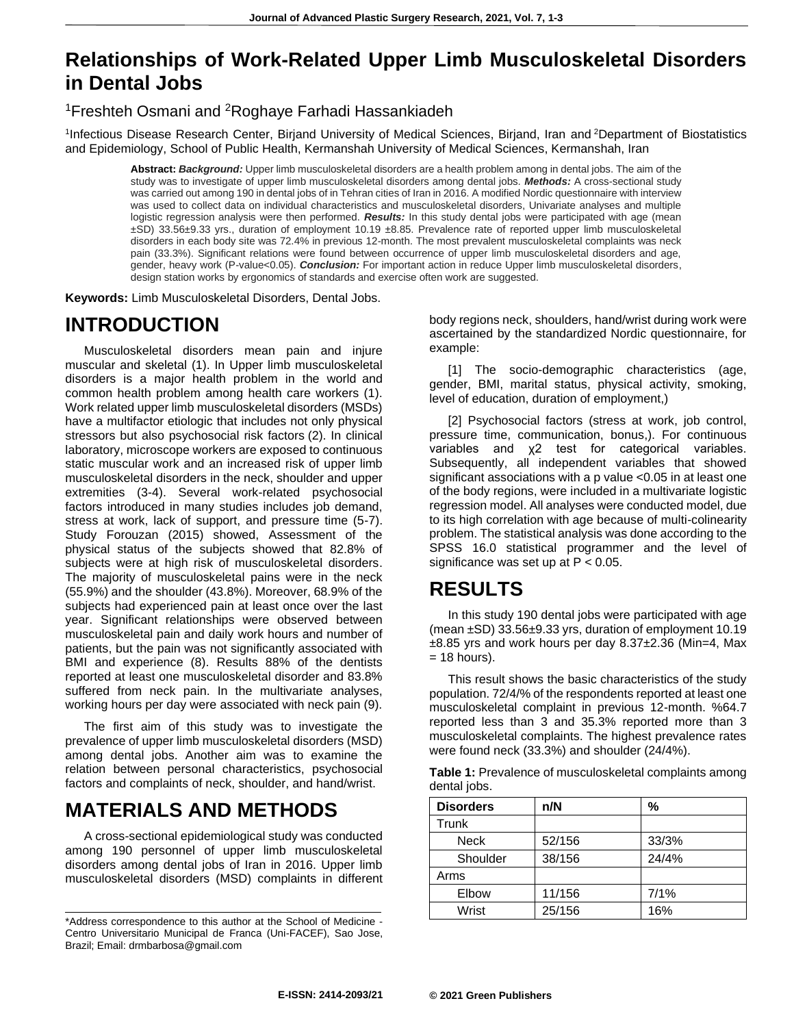## **Relationships of Work-Related Upper Limb Musculoskeletal Disorders in Dental Jobs**

<sup>1</sup>Freshteh Osmani and <sup>2</sup>Roghaye Farhadi Hassankiadeh

<sup>1</sup>Infectious Disease Research Center, Birjand University of Medical Sciences, Birjand, Iran and <sup>2</sup>Department of Biostatistics and Epidemiology, School of Public Health, Kermanshah University of Medical Sciences, Kermanshah, Iran

**Abstract:** *Background:* Upper limb musculoskeletal disorders are a health problem among in dental jobs. The aim of the study was to investigate of upper limb musculoskeletal disorders among dental jobs. *Methods:* A cross-sectional study was carried out among 190 in dental jobs of in Tehran cities of Iran in 2016. A modified Nordic questionnaire with interview was used to collect data on individual characteristics and musculoskeletal disorders, Univariate analyses and multiple logistic regression analysis were then performed. *Results:* In this study dental jobs were participated with age (mean ±SD) 33.56±9.33 yrs., duration of employment 10.19 ±8.85. Prevalence rate of reported upper limb musculoskeletal disorders in each body site was 72.4% in previous 12-month. The most prevalent musculoskeletal complaints was neck pain (33.3%). Significant relations were found between occurrence of upper limb musculoskeletal disorders and age, gender, heavy work (P-value<0.05). *Conclusion:* For important action in reduce Upper limb musculoskeletal disorders, design station works by ergonomics of standards and exercise often work are suggested.

**Keywords:** Limb Musculoskeletal Disorders, Dental Jobs.

## **INTRODUCTION**

Musculoskeletal disorders mean pain and injure muscular and skeletal (1). In Upper limb musculoskeletal disorders is a major health problem in the world and common health problem among health care workers (1). Work related upper limb musculoskeletal disorders (MSDs) have a multifactor etiologic that includes not only physical stressors but also psychosocial risk factors (2). In clinical laboratory, microscope workers are exposed to continuous static muscular work and an increased risk of upper limb musculoskeletal disorders in the neck, shoulder and upper extremities (3-4). Several work-related psychosocial factors introduced in many studies includes job demand, stress at work, lack of support, and pressure time (5-7). Study Forouzan (2015) showed, Assessment of the physical status of the subjects showed that 82.8% of subjects were at high risk of musculoskeletal disorders. The majority of musculoskeletal pains were in the neck (55.9%) and the shoulder (43.8%). Moreover, 68.9% of the subjects had experienced pain at least once over the last year. Significant relationships were observed between musculoskeletal pain and daily work hours and number of patients, but the pain was not significantly associated with BMI and experience (8). Results 88% of the dentists reported at least one musculoskeletal disorder and 83.8% suffered from neck pain. In the multivariate analyses, working hours per day were associated with neck pain (9).

The first aim of this study was to investigate the prevalence of upper limb musculoskeletal disorders (MSD) among dental jobs. Another aim was to examine the relation between personal characteristics, psychosocial factors and complaints of neck, shoulder, and hand/wrist.

# **MATERIALS AND METHODS**

A cross-sectional epidemiological study was conducted among 190 personnel of upper limb musculoskeletal disorders among dental jobs of Iran in 2016. Upper limb musculoskeletal disorders (MSD) complaints in different body regions neck, shoulders, hand/wrist during work were ascertained by the standardized Nordic questionnaire, for example:

[1] The socio-demographic characteristics (age, gender, BMI, marital status, physical activity, smoking, level of education, duration of employment,)

[2] Psychosocial factors (stress at work, job control, pressure time, communication, bonus,). For continuous variables and χ2 test for categorical variables. Subsequently, all independent variables that showed significant associations with a p value <0.05 in at least one of the body regions, were included in a multivariate logistic regression model. All analyses were conducted model, due to its high correlation with age because of multi-colinearity problem. The statistical analysis was done according to the SPSS 16.0 statistical programmer and the level of significance was set up at P < 0.05.

## **RESULTS**

In this study 190 dental jobs were participated with age (mean ±SD) 33.56±9.33 yrs, duration of employment 10.19  $\pm$ 8.85 yrs and work hours per day 8.37 $\pm$ 2.36 (Min=4, Max  $= 18$  hours).

This result shows the basic characteristics of the study population. 72/4/% of the respondents reported at least one musculoskeletal complaint in previous 12-month. %64.7 reported less than 3 and 35.3% reported more than 3 musculoskeletal complaints. The highest prevalence rates were found neck (33.3%) and shoulder (24/4%).

|              | Table 1: Prevalence of musculoskeletal complaints among |
|--------------|---------------------------------------------------------|
| dental jobs. |                                                         |

| <b>Disorders</b> | n/N    | %     |  |
|------------------|--------|-------|--|
| Trunk            |        |       |  |
| <b>Neck</b>      | 52/156 | 33/3% |  |
| Shoulder         | 38/156 | 24/4% |  |
| Arms             |        |       |  |
| Elbow            | 11/156 | 7/1%  |  |
| Wrist            | 25/156 | 16%   |  |

<sup>\*</sup>Address correspondence to this author at the School of Medicine - Centro Universitario Municipal de Franca (Uni-FACEF), Sao Jose, Brazil; Email: drmbarbosa@gmail.com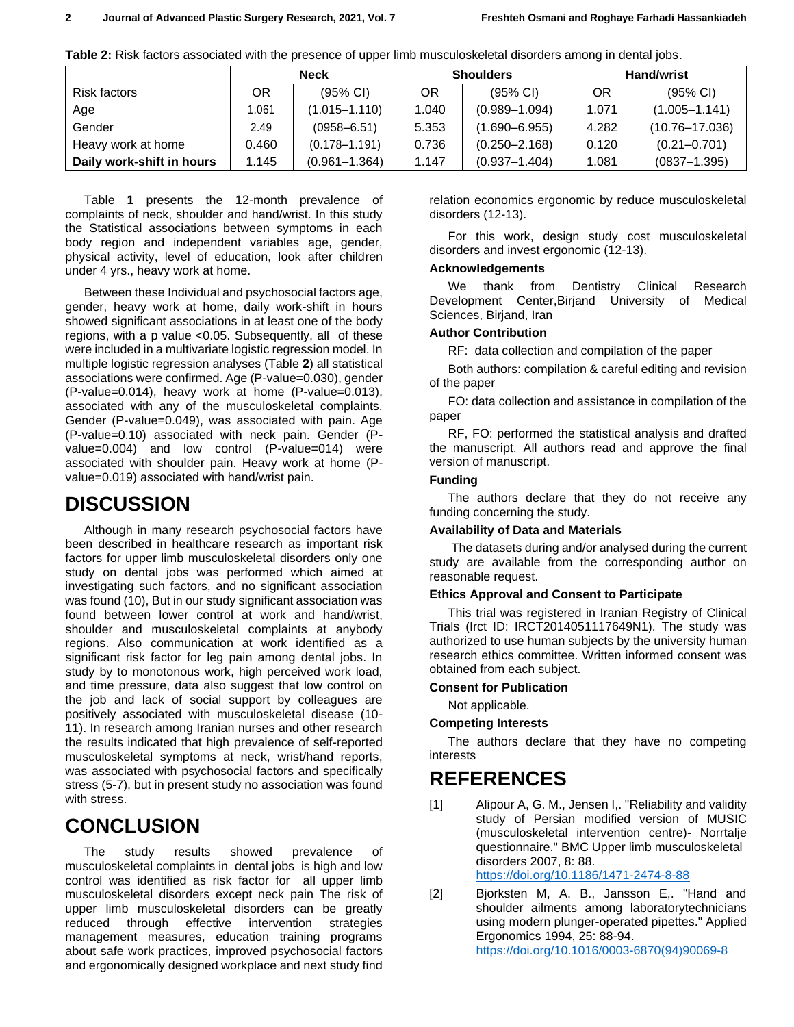|                           | <b>Neck</b> |                    | <b>Shoulders</b> |                    | <b>Hand/wrist</b> |                    |
|---------------------------|-------------|--------------------|------------------|--------------------|-------------------|--------------------|
| Risk factors              | ΟR          | $(95% \text{ Cl})$ | OR               | $(95% \text{ Cl})$ | OR                | $(95% \text{ Cl})$ |
| Age                       | 1.061       | $(1.015 - 1.110)$  | 1.040            | $(0.989 - 1.094)$  | 1.071             | $(1.005 - 1.141)$  |
| Gender                    | 2.49        | $(0958 - 6.51)$    | 5.353            | $(1.690 - 6.955)$  | 4.282             | $(10.76 - 17.036)$ |
| Heavy work at home        | 0.460       | $(0.178 - 1.191)$  | 0.736            | $(0.250 - 2.168)$  | 0.120             | $(0.21 - 0.701)$   |
| Daily work-shift in hours | 1.145       | $(0.961 - 1.364)$  | 1.147            | $(0.937 - 1.404)$  | 1.081             | $(0837 - 1.395)$   |

**Table 2:** Risk factors associated with the presence of upper limb musculoskeletal disorders among in dental jobs.

Table **1** presents the 12-month prevalence of complaints of neck, shoulder and hand/wrist. In this study the Statistical associations between symptoms in each body region and independent variables age, gender, physical activity, level of education, look after children under 4 yrs., heavy work at home.

Between these Individual and psychosocial factors age, gender, heavy work at home, daily work-shift in hours showed significant associations in at least one of the body regions, with a p value <0.05. Subsequently, all of these were included in a multivariate logistic regression model. In multiple logistic regression analyses (Table **2**) all statistical associations were confirmed. Age (P-value=0.030), gender (P-value=0.014), heavy work at home (P-value=0.013), associated with any of the musculoskeletal complaints. Gender (P-value=0.049), was associated with pain. Age (P-value=0.10) associated with neck pain. Gender (Pvalue=0.004) and low control (P-value=014) were associated with shoulder pain. Heavy work at home (Pvalue=0.019) associated with hand/wrist pain.

### **DISCUSSION**

Although in many research psychosocial factors have been described in healthcare research as important risk factors for upper limb musculoskeletal disorders only one study on dental jobs was performed which aimed at investigating such factors, and no significant association was found (10), But in our study significant association was found between lower control at work and hand/wrist, shoulder and musculoskeletal complaints at anybody regions. Also communication at work identified as a significant risk factor for leg pain among dental jobs. In study by to monotonous work, high perceived work load, and time pressure, data also suggest that low control on the job and lack of social support by colleagues are positively associated with musculoskeletal disease (10- 11). In research among Iranian nurses and other research the results indicated that high prevalence of self-reported musculoskeletal symptoms at neck, wrist/hand reports, was associated with psychosocial factors and specifically stress (5-7), but in present study no association was found with stress.

### **CONCLUSION**

The study results showed prevalence of musculoskeletal complaints in dental jobs is high and low control was identified as risk factor for all upper limb musculoskeletal disorders except neck pain The risk of upper limb musculoskeletal disorders can be greatly reduced through effective intervention strategies management measures, education training programs about safe work practices, improved psychosocial factors and ergonomically designed workplace and next study find relation economics ergonomic by reduce musculoskeletal disorders (12-13).

For this work, design study cost musculoskeletal disorders and invest ergonomic (12-13).

#### **Acknowledgements**

We thank from Dentistry Clinical Research Development Center,Birjand University of Medical Sciences, Birjand, Iran

#### **Author Contribution**

RF: data collection and compilation of the paper

Both authors: compilation & careful editing and revision of the paper

FO: data collection and assistance in compilation of the paper

RF, FO: performed the statistical analysis and drafted the manuscript. All authors read and approve the final version of manuscript.

#### **Funding**

The authors declare that they do not receive any funding concerning the study.

#### **Availability of Data and Materials**

The datasets during and/or analysed during the current study are available from the corresponding author on reasonable request.

#### **Ethics Approval and Consent to Participate**

This trial was registered in Iranian Registry of Clinical Trials (Irct ID: IRCT2014051117649N1). The study was authorized to use human subjects by the university human research ethics committee. Written informed consent was obtained from each subject.

#### **Consent for Publication**

Not applicable.

#### **Competing Interests**

The authors declare that they have no competing interests

### **REFERENCES**

[1] Alipour A, G. M., Jensen I,. "Reliability and validity study of Persian modified version of MUSIC (musculoskeletal intervention centre)- Norrtalje questionnaire." BMC Upper limb musculoskeletal disorders 2007, 8: 88. <https://doi.org/10.1186/1471-2474-8-88>

[2] Bjorksten M, A. B., Jansson E,. "Hand and shoulder ailments among laboratorytechnicians using modern plunger-operated pipettes." Applied Ergonomics 1994, 25: 88-94. [https://doi.org/10.1016/0003-6870\(94\)90069-8](https://doi.org/10.1016/0003-6870(94)90069-8)